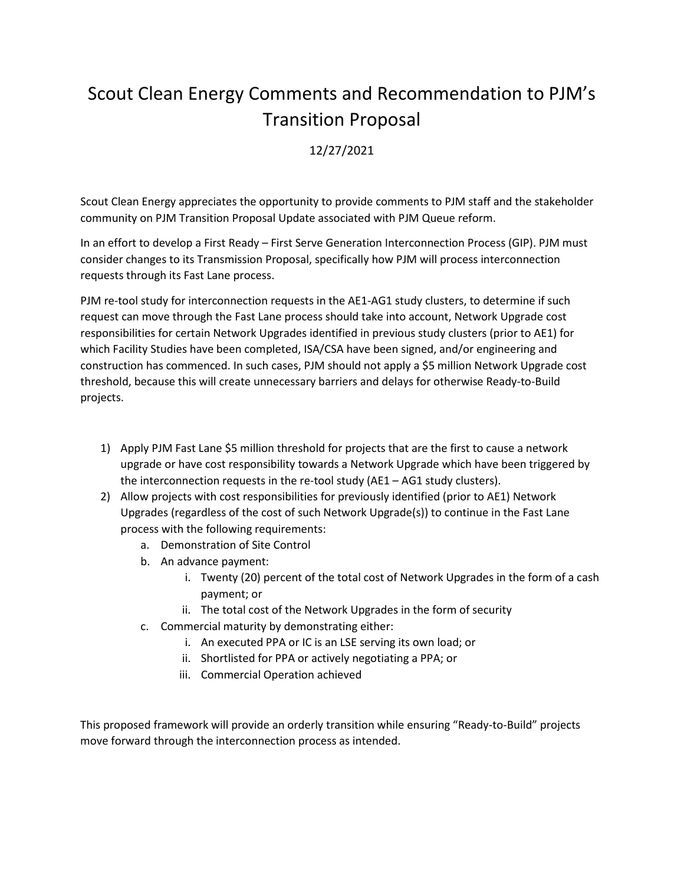## Scout Clean Energy Comments and Recommendation to PJM's Transition Proposal

## 12/27/2021

Scout Clean Energy appreciates the opportunity to provide comments to PJM staff and the stakeholder community on PJM Transition Proposal Update associated with PJM Queue reform.

In an effort to develop a First Ready – First Serve Generation Interconnection Process (GIP). PJM must consider changes to its Transmission Proposal, specifically how PJM will process interconnection requests through its Fast Lane process.

PJM re-tool study for interconnection requests in the AE1-AG1 study clusters, to determine if such request can move through the Fast Lane process should take into account, Network Upgrade cost responsibilities for certain Network Upgrades identified in previous study clusters (prior to AE1) for which Facility Studies have been completed, ISA/CSA have been signed, and/or engineering and construction has commenced. In such cases, PJM should not apply a \$5 million Network Upgrade cost threshold, because this will create unnecessary barriers and delays for otherwise Ready-to-Build projects.

- 1) Apply PJM Fast Lane \$5 million threshold for projects that are the first to cause a network upgrade or have cost responsibility towards a Network Upgrade which have been triggered by the interconnection requests in the re-tool study (AE1 – AG1 study clusters).
- 2) Allow projects with cost responsibilities for previously identified (prior to AE1) Network Upgrades (regardless of the cost of such Network Upgrade(s)) to continue in the Fast Lane process with the following requirements:
	- a. Demonstration of Site Control
	- b. An advance payment:
		- i. Twenty (20) percent of the total cost of Network Upgrades in the form of a cash payment; or
		- ii. The total cost of the Network Upgrades in the form of security
	- c. Commercial maturity by demonstrating either:
		- i. An executed PPA or IC is an LSE serving its own load; or
		- ii. Shortlisted for PPA or actively negotiating a PPA; or
		- iii. Commercial Operation achieved

This proposed framework will provide an orderly transition while ensuring "Ready-to-Build" projects move forward through the interconnection process as intended.